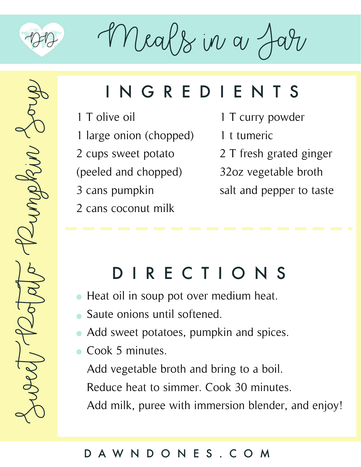

Meals in a

### INGREDIENTS

- 1 T olive oil
- 1 large onion (chopped)
- 2 cups sweet potato
- (peeled and chopped)
- 3 cans pumpkin
- 2 cans coconut milk
- 1 T curry powder
- 1 t tumeric
- 2 T fresh grated ginger
- 32oz vegetable broth
- salt and pepper to taste

## DIRECTIONS

- Heat oil in soup pot over medium heat.
- Saute onions until softened.
- Add sweet potatoes, pumpkin and spices.
- Cook 5 minutes.

Add vegetable broth and bring to a boil. Reduce heat to simmer. Cook 30 minutes. Add milk, puree with immersion blender, and enjoy!

### DAWNDONES.COM